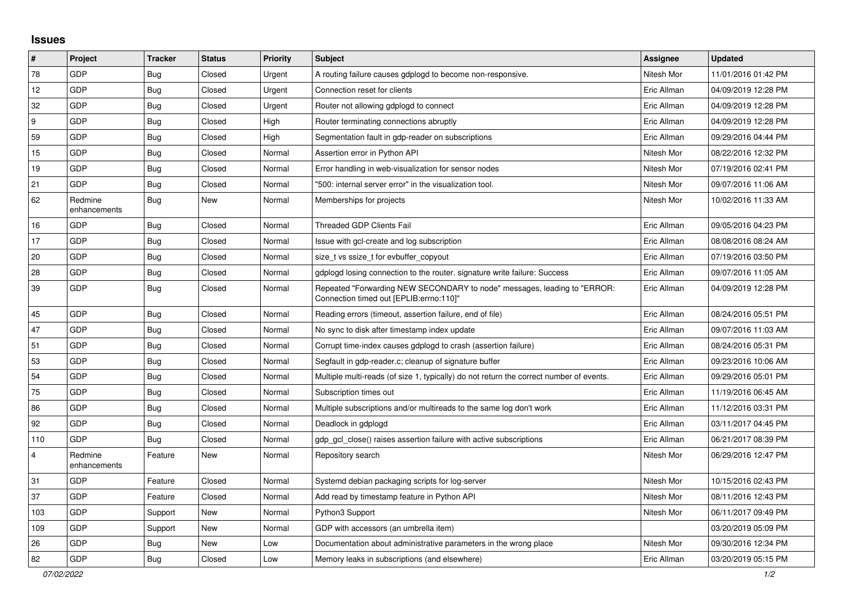## **Issues**

| $\vert$ #        | Project                 | <b>Tracker</b> | <b>Status</b> | <b>Priority</b> | <b>Subject</b>                                                                                                      | Assignee    | <b>Updated</b>      |
|------------------|-------------------------|----------------|---------------|-----------------|---------------------------------------------------------------------------------------------------------------------|-------------|---------------------|
| 78               | GDP                     | Bug            | Closed        | Urgent          | A routing failure causes gdplogd to become non-responsive.                                                          | Nitesh Mor  | 11/01/2016 01:42 PM |
| 12               | GDP                     | <b>Bug</b>     | Closed        | Urgent          | Connection reset for clients                                                                                        | Eric Allman | 04/09/2019 12:28 PM |
| 32               | GDP                     | Bug            | Closed        | Urgent          | Router not allowing gdplogd to connect                                                                              | Eric Allman | 04/09/2019 12:28 PM |
| $\boldsymbol{9}$ | <b>GDP</b>              | <b>Bug</b>     | Closed        | High            | Router terminating connections abruptly                                                                             | Eric Allman | 04/09/2019 12:28 PM |
| 59               | GDP                     | Bug            | Closed        | High            | Segmentation fault in gdp-reader on subscriptions                                                                   | Eric Allman | 09/29/2016 04:44 PM |
| 15               | GDP                     | <b>Bug</b>     | Closed        | Normal          | Assertion error in Python API                                                                                       | Nitesh Mor  | 08/22/2016 12:32 PM |
| 19               | GDP                     | <b>Bug</b>     | Closed        | Normal          | Error handling in web-visualization for sensor nodes                                                                | Nitesh Mor  | 07/19/2016 02:41 PM |
| 21               | <b>GDP</b>              | <b>Bug</b>     | Closed        | Normal          | "500: internal server error" in the visualization tool.                                                             | Nitesh Mor  | 09/07/2016 11:06 AM |
| 62               | Redmine<br>enhancements | Bug            | <b>New</b>    | Normal          | Memberships for projects                                                                                            | Nitesh Mor  | 10/02/2016 11:33 AM |
| 16               | <b>GDP</b>              | Bug            | Closed        | Normal          | <b>Threaded GDP Clients Fail</b>                                                                                    | Eric Allman | 09/05/2016 04:23 PM |
| 17               | GDP                     | <b>Bug</b>     | Closed        | Normal          | Issue with gcl-create and log subscription                                                                          | Eric Allman | 08/08/2016 08:24 AM |
| 20               | GDP                     | Bug            | Closed        | Normal          | size t vs ssize t for evbuffer copyout                                                                              | Eric Allman | 07/19/2016 03:50 PM |
| 28               | GDP                     | <b>Bug</b>     | Closed        | Normal          | gdplogd losing connection to the router. signature write failure: Success                                           | Eric Allman | 09/07/2016 11:05 AM |
| 39               | <b>GDP</b>              | Bug            | Closed        | Normal          | Repeated "Forwarding NEW SECONDARY to node" messages, leading to "ERROR:<br>Connection timed out [EPLIB:errno:110]" | Eric Allman | 04/09/2019 12:28 PM |
| 45               | GDP                     | Bug            | Closed        | Normal          | Reading errors (timeout, assertion failure, end of file)                                                            | Eric Allman | 08/24/2016 05:51 PM |
| 47               | <b>GDP</b>              | <b>Bug</b>     | Closed        | Normal          | No sync to disk after timestamp index update                                                                        | Eric Allman | 09/07/2016 11:03 AM |
| 51               | GDP                     | Bug            | Closed        | Normal          | Corrupt time-index causes gdplogd to crash (assertion failure)                                                      | Eric Allman | 08/24/2016 05:31 PM |
| 53               | GDP                     | <b>Bug</b>     | Closed        | Normal          | Segfault in gdp-reader.c; cleanup of signature buffer                                                               | Eric Allman | 09/23/2016 10:06 AM |
| 54               | GDP                     | Bug            | Closed        | Normal          | Multiple multi-reads (of size 1, typically) do not return the correct number of events.                             | Eric Allman | 09/29/2016 05:01 PM |
| 75               | GDP                     | <b>Bug</b>     | Closed        | Normal          | Subscription times out                                                                                              | Eric Allman | 11/19/2016 06:45 AM |
| 86               | GDP                     | Bug            | Closed        | Normal          | Multiple subscriptions and/or multireads to the same log don't work                                                 | Eric Allman | 11/12/2016 03:31 PM |
| 92               | GDP                     | Bug            | Closed        | Normal          | Deadlock in gdplogd                                                                                                 | Eric Allman | 03/11/2017 04:45 PM |
| 110              | <b>GDP</b>              | Bug            | Closed        | Normal          | gdp gcl close() raises assertion failure with active subscriptions                                                  | Eric Allman | 06/21/2017 08:39 PM |
| $\overline{4}$   | Redmine<br>enhancements | Feature        | <b>New</b>    | Normal          | Repository search                                                                                                   | Nitesh Mor  | 06/29/2016 12:47 PM |
| 31               | <b>GDP</b>              | Feature        | Closed        | Normal          | Systemd debian packaging scripts for log-server                                                                     | Nitesh Mor  | 10/15/2016 02:43 PM |
| 37               | GDP                     | Feature        | Closed        | Normal          | Add read by timestamp feature in Python API                                                                         | Nitesh Mor  | 08/11/2016 12:43 PM |
| 103              | GDP                     | Support        | <b>New</b>    | Normal          | Python3 Support                                                                                                     | Nitesh Mor  | 06/11/2017 09:49 PM |
| 109              | GDP                     | Support        | New           | Normal          | GDP with accessors (an umbrella item)                                                                               |             | 03/20/2019 05:09 PM |
| 26               | <b>GDP</b>              | Bug            | <b>New</b>    | Low             | Documentation about administrative parameters in the wrong place                                                    | Nitesh Mor  | 09/30/2016 12:34 PM |
| 82               | GDP                     | Bug            | Closed        | Low             | Memory leaks in subscriptions (and elsewhere)                                                                       | Eric Allman | 03/20/2019 05:15 PM |